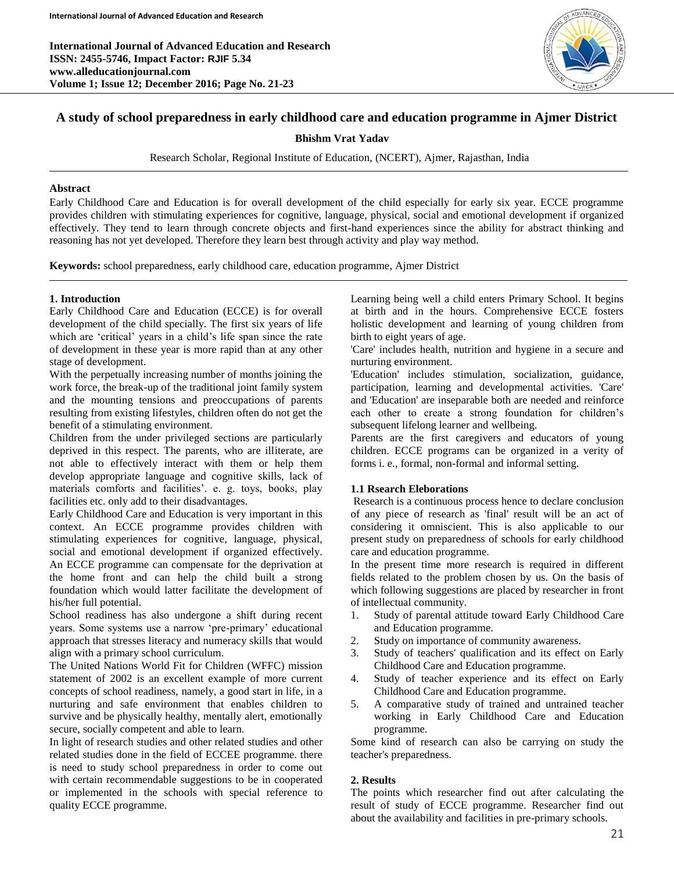

# **A study of school preparedness in early childhood care and education programme in Ajmer District**

**Bhishm Vrat Yadav**

Research Scholar, Regional Institute of Education, (NCERT), Ajmer, Rajasthan, India

#### **Abstract**

Early Childhood Care and Education is for overall development of the child especially for early six year. ECCE programme provides children with stimulating experiences for cognitive, language, physical, social and emotional development if organized effectively. They tend to learn through concrete objects and first-hand experiences since the ability for abstract thinking and reasoning has not yet developed. Therefore they learn best through activity and play way method.

**Keywords:** school preparedness, early childhood care, education programme, Ajmer District

## **1. Introduction**

Early Childhood Care and Education (ECCE) is for overall development of the child specially. The first six years of life which are 'critical' years in a child's life span since the rate of development in these year is more rapid than at any other stage of development.

With the perpetually increasing number of months joining the work force, the break-up of the traditional joint family system and the mounting tensions and preoccupations of parents resulting from existing lifestyles, children often do not get the benefit of a stimulating environment.

Children from the under privileged sections are particularly deprived in this respect. The parents, who are illiterate, are not able to effectively interact with them or help them develop appropriate language and cognitive skills, lack of materials comforts and facilities'. e. g. toys, books, play facilities etc. only add to their disadvantages.

Early Childhood Care and Education is very important in this context. An ECCE programme provides children with stimulating experiences for cognitive, language, physical, social and emotional development if organized effectively. An ECCE programme can compensate for the deprivation at the home front and can help the child built a strong foundation which would latter facilitate the development of his/her full potential.

School readiness has also undergone a shift during recent years. Some systems use a narrow 'pre-primary' educational approach that stresses literacy and numeracy skills that would align with a primary school curriculum.

The United Nations World Fit for Children (WFFC) mission statement of 2002 is an excellent example of more current concepts of school readiness, namely, a good start in life, in a nurturing and safe environment that enables children to survive and be physically healthy, mentally alert, emotionally secure, socially competent and able to learn.

In light of research studies and other related studies and other related studies done in the field of ECCEE programme. there is need to study school preparedness in order to come out with certain recommendable suggestions to be in cooperated or implemented in the schools with special reference to quality ECCE programme.

Learning being well a child enters Primary School. It begins at birth and in the hours. Comprehensive ECCE fosters holistic development and learning of young children from birth to eight years of age.

'Care' includes health, nutrition and hygiene in a secure and nurturing environment.

'Education' includes stimulation, socialization, guidance, participation, learning and developmental activities. 'Care' and 'Education' are inseparable both are needed and reinforce each other to create a strong foundation for children's subsequent lifelong learner and wellbeing.

Parents are the first caregivers and educators of young children. ECCE programs can be organized in a verity of forms i. e., formal, non-formal and informal setting.

## **1.1 Rsearch Eleborations**

Research is a continuous process hence to declare conclusion of any piece of research as 'final' result will be an act of considering it omniscient. This is also applicable to our present study on preparedness of schools for early childhood care and education programme.

In the present time more research is required in different fields related to the problem chosen by us. On the basis of which following suggestions are placed by researcher in front of intellectual community.

- 1. Study of parental attitude toward Early Childhood Care and Education programme.
- 2. Study on importance of community awareness.
- 3. Study of teachers' qualification and its effect on Early Childhood Care and Education programme.
- 4. Study of teacher experience and its effect on Early Childhood Care and Education programme.
- 5. A comparative study of trained and untrained teacher working in Early Childhood Care and Education programme.

Some kind of research can also be carrying on study the teacher's preparedness.

## **2. Results**

The points which researcher find out after calculating the result of study of ECCE programme. Researcher find out about the availability and facilities in pre-primary schools.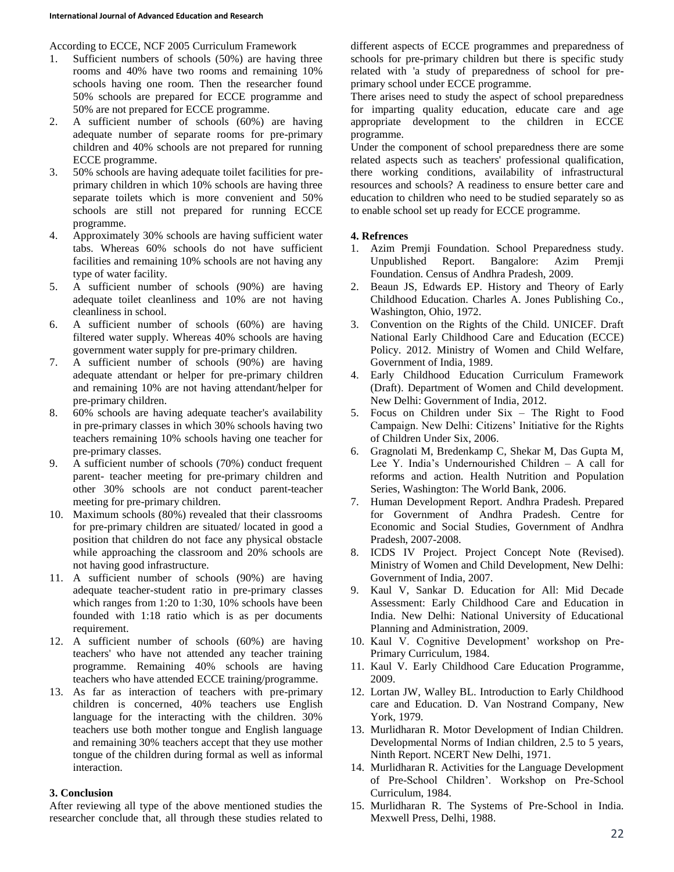According to ECCE, NCF 2005 Curriculum Framework

- 1. Sufficient numbers of schools (50%) are having three rooms and 40% have two rooms and remaining 10% schools having one room. Then the researcher found 50% schools are prepared for ECCE programme and 50% are not prepared for ECCE programme.
- 2. A sufficient number of schools (60%) are having adequate number of separate rooms for pre-primary children and 40% schools are not prepared for running ECCE programme.
- 3. 50% schools are having adequate toilet facilities for preprimary children in which 10% schools are having three separate toilets which is more convenient and 50% schools are still not prepared for running ECCE programme.
- 4. Approximately 30% schools are having sufficient water tabs. Whereas 60% schools do not have sufficient facilities and remaining 10% schools are not having any type of water facility.
- 5. A sufficient number of schools (90%) are having adequate toilet cleanliness and 10% are not having cleanliness in school.
- 6. A sufficient number of schools (60%) are having filtered water supply. Whereas 40% schools are having government water supply for pre-primary children.
- 7. A sufficient number of schools (90%) are having adequate attendant or helper for pre-primary children and remaining 10% are not having attendant/helper for pre-primary children.
- 8. 60% schools are having adequate teacher's availability in pre-primary classes in which 30% schools having two teachers remaining 10% schools having one teacher for pre-primary classes.
- 9. A sufficient number of schools (70%) conduct frequent parent- teacher meeting for pre-primary children and other 30% schools are not conduct parent-teacher meeting for pre-primary children.
- 10. Maximum schools (80%) revealed that their classrooms for pre-primary children are situated/ located in good a position that children do not face any physical obstacle while approaching the classroom and 20% schools are not having good infrastructure.
- 11. A sufficient number of schools (90%) are having adequate teacher-student ratio in pre-primary classes which ranges from 1:20 to 1:30, 10% schools have been founded with 1:18 ratio which is as per documents requirement.
- 12. A sufficient number of schools (60%) are having teachers' who have not attended any teacher training programme. Remaining 40% schools are having teachers who have attended ECCE training/programme.
- 13. As far as interaction of teachers with pre-primary children is concerned, 40% teachers use English language for the interacting with the children. 30% teachers use both mother tongue and English language and remaining 30% teachers accept that they use mother tongue of the children during formal as well as informal interaction.

#### **3. Conclusion**

After reviewing all type of the above mentioned studies the researcher conclude that, all through these studies related to different aspects of ECCE programmes and preparedness of schools for pre-primary children but there is specific study related with 'a study of preparedness of school for preprimary school under ECCE programme.

There arises need to study the aspect of school preparedness for imparting quality education, educate care and age appropriate development to the children in ECCE programme.

Under the component of school preparedness there are some related aspects such as teachers' professional qualification, there working conditions, availability of infrastructural resources and schools? A readiness to ensure better care and education to children who need to be studied separately so as to enable school set up ready for ECCE programme.

## **4. Refrences**

- 1. Azim Premji Foundation. School Preparedness study. Unpublished Report. Bangalore: Azim Premji Foundation. Census of Andhra Pradesh, 2009.
- 2. Beaun JS, Edwards EP. History and Theory of Early Childhood Education. Charles A. Jones Publishing Co., Washington, Ohio, 1972.
- 3. Convention on the Rights of the Child. UNICEF. Draft National Early Childhood Care and Education (ECCE) Policy. 2012. Ministry of Women and Child Welfare, Government of India, 1989.
- 4. Early Childhood Education Curriculum Framework (Draft). Department of Women and Child development. New Delhi: Government of India, 2012.
- 5. Focus on Children under Six The Right to Food Campaign. New Delhi: Citizens' Initiative for the Rights of Children Under Six, 2006.
- 6. Gragnolati M, Bredenkamp C, Shekar M, Das Gupta M, Lee Y. India's Undernourished Children – A call for reforms and action. Health Nutrition and Population Series, Washington: The World Bank, 2006.
- 7. Human Development Report. Andhra Pradesh. Prepared for Government of Andhra Pradesh. Centre for Economic and Social Studies, Government of Andhra Pradesh, 2007-2008.
- 8. ICDS IV Project. Project Concept Note (Revised). Ministry of Women and Child Development, New Delhi: Government of India, 2007.
- 9. Kaul V, Sankar D. Education for All: Mid Decade Assessment: Early Childhood Care and Education in India. New Delhi: National University of Educational Planning and Administration, 2009.
- 10. Kaul V. Cognitive Development' workshop on Pre-Primary Curriculum, 1984.
- 11. Kaul V. Early Childhood Care Education Programme, 2009.
- 12. Lortan JW, Walley BL. Introduction to Early Childhood care and Education. D. Van Nostrand Company, New York, 1979.
- 13. Murlidharan R. Motor Development of Indian Children. Developmental Norms of Indian children, 2.5 to 5 years, Ninth Report. NCERT New Delhi, 1971.
- 14. Murlidharan R. Activities for the Language Development of Pre-School Children'. Workshop on Pre-School Curriculum, 1984.
- 15. Murlidharan R. The Systems of Pre-School in India. Mexwell Press, Delhi, 1988.